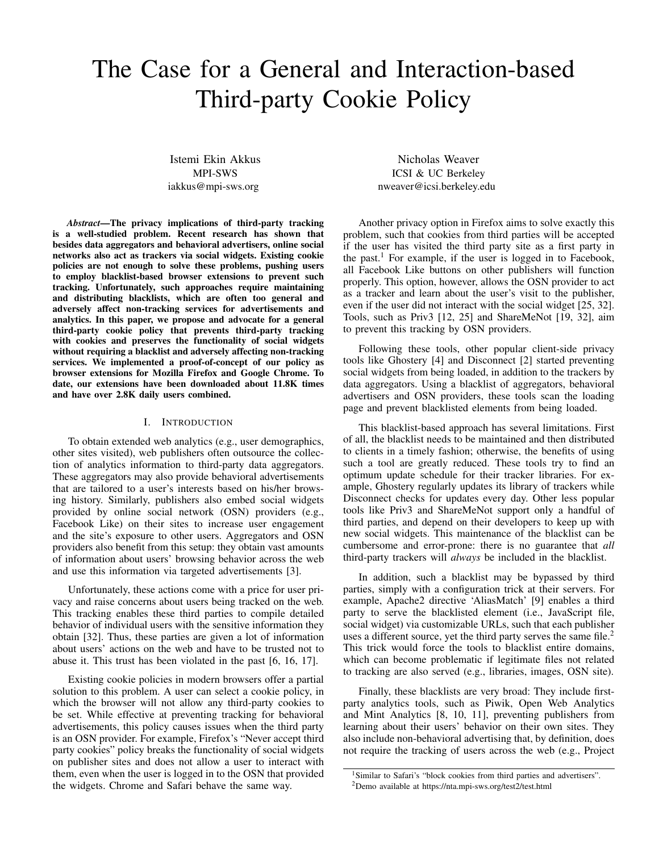# The Case for a General and Interaction-based Third-party Cookie Policy

Istemi Ekin Akkus MPI-SWS iakkus@mpi-sws.org

*Abstract*—The privacy implications of third-party tracking is a well-studied problem. Recent research has shown that besides data aggregators and behavioral advertisers, online social networks also act as trackers via social widgets. Existing cookie policies are not enough to solve these problems, pushing users to employ blacklist-based browser extensions to prevent such tracking. Unfortunately, such approaches require maintaining and distributing blacklists, which are often too general and adversely affect non-tracking services for advertisements and analytics. In this paper, we propose and advocate for a general third-party cookie policy that prevents third-party tracking with cookies and preserves the functionality of social widgets without requiring a blacklist and adversely affecting non-tracking services. We implemented a proof-of-concept of our policy as browser extensions for Mozilla Firefox and Google Chrome. To date, our extensions have been downloaded about 11.8K times and have over 2.8K daily users combined.

#### I. INTRODUCTION

To obtain extended web analytics (e.g., user demographics, other sites visited), web publishers often outsource the collection of analytics information to third-party data aggregators. These aggregators may also provide behavioral advertisements that are tailored to a user's interests based on his/her browsing history. Similarly, publishers also embed social widgets provided by online social network (OSN) providers (e.g., Facebook Like) on their sites to increase user engagement and the site's exposure to other users. Aggregators and OSN providers also benefit from this setup: they obtain vast amounts of information about users' browsing behavior across the web and use this information via targeted advertisements [3].

Unfortunately, these actions come with a price for user privacy and raise concerns about users being tracked on the web. This tracking enables these third parties to compile detailed behavior of individual users with the sensitive information they obtain [32]. Thus, these parties are given a lot of information about users' actions on the web and have to be trusted not to abuse it. This trust has been violated in the past [6, 16, 17].

Existing cookie policies in modern browsers offer a partial solution to this problem. A user can select a cookie policy, in which the browser will not allow any third-party cookies to be set. While effective at preventing tracking for behavioral advertisements, this policy causes issues when the third party is an OSN provider. For example, Firefox's "Never accept third party cookies" policy breaks the functionality of social widgets on publisher sites and does not allow a user to interact with them, even when the user is logged in to the OSN that provided the widgets. Chrome and Safari behave the same way.

Nicholas Weaver ICSI & UC Berkeley nweaver@icsi.berkeley.edu

Another privacy option in Firefox aims to solve exactly this problem, such that cookies from third parties will be accepted if the user has visited the third party site as a first party in the past.<sup>1</sup> For example, if the user is logged in to Facebook, all Facebook Like buttons on other publishers will function properly. This option, however, allows the OSN provider to act as a tracker and learn about the user's visit to the publisher, even if the user did not interact with the social widget [25, 32]. Tools, such as Priv3 [12, 25] and ShareMeNot [19, 32], aim to prevent this tracking by OSN providers.

Following these tools, other popular client-side privacy tools like Ghostery [4] and Disconnect [2] started preventing social widgets from being loaded, in addition to the trackers by data aggregators. Using a blacklist of aggregators, behavioral advertisers and OSN providers, these tools scan the loading page and prevent blacklisted elements from being loaded.

This blacklist-based approach has several limitations. First of all, the blacklist needs to be maintained and then distributed to clients in a timely fashion; otherwise, the benefits of using such a tool are greatly reduced. These tools try to find an optimum update schedule for their tracker libraries. For example, Ghostery regularly updates its library of trackers while Disconnect checks for updates every day. Other less popular tools like Priv3 and ShareMeNot support only a handful of third parties, and depend on their developers to keep up with new social widgets. This maintenance of the blacklist can be cumbersome and error-prone: there is no guarantee that *all* third-party trackers will *always* be included in the blacklist.

In addition, such a blacklist may be bypassed by third parties, simply with a configuration trick at their servers. For example, Apache2 directive 'AliasMatch' [9] enables a third party to serve the blacklisted element (i.e., JavaScript file, social widget) via customizable URLs, such that each publisher uses a different source, yet the third party serves the same file. $<sup>2</sup>$ </sup> This trick would force the tools to blacklist entire domains, which can become problematic if legitimate files not related to tracking are also served (e.g., libraries, images, OSN site).

Finally, these blacklists are very broad: They include firstparty analytics tools, such as Piwik, Open Web Analytics and Mint Analytics [8, 10, 11], preventing publishers from learning about their users' behavior on their own sites. They also include non-behavioral advertising that, by definition, does not require the tracking of users across the web (e.g., Project

<sup>&</sup>lt;sup>1</sup>Similar to Safari's "block cookies from third parties and advertisers". <sup>2</sup>Demo available at https://nta.mpi-sws.org/test2/test.html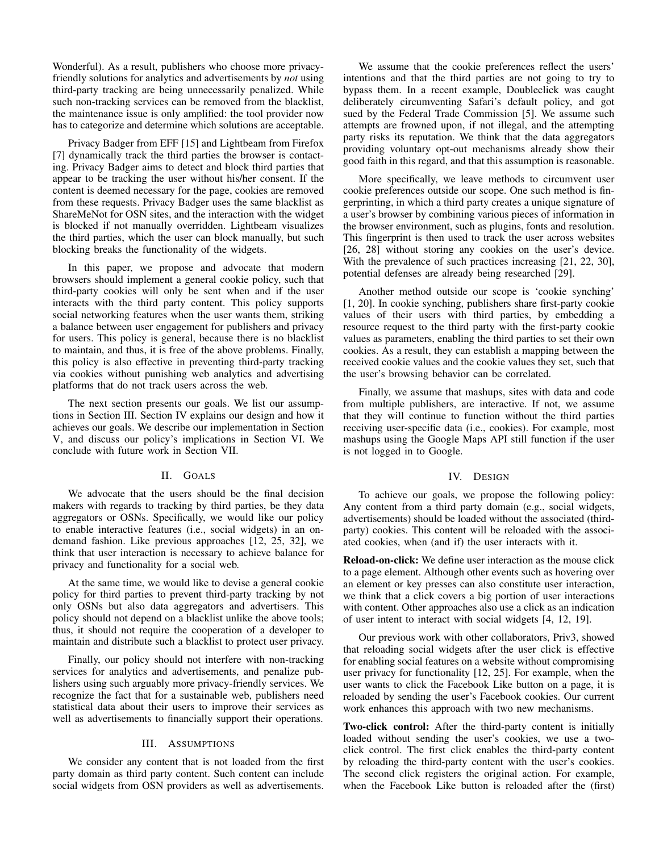Wonderful). As a result, publishers who choose more privacyfriendly solutions for analytics and advertisements by *not* using third-party tracking are being unnecessarily penalized. While such non-tracking services can be removed from the blacklist, the maintenance issue is only amplified: the tool provider now has to categorize and determine which solutions are acceptable.

Privacy Badger from EFF [15] and Lightbeam from Firefox [7] dynamically track the third parties the browser is contacting. Privacy Badger aims to detect and block third parties that appear to be tracking the user without his/her consent. If the content is deemed necessary for the page, cookies are removed from these requests. Privacy Badger uses the same blacklist as ShareMeNot for OSN sites, and the interaction with the widget is blocked if not manually overridden. Lightbeam visualizes the third parties, which the user can block manually, but such blocking breaks the functionality of the widgets.

In this paper, we propose and advocate that modern browsers should implement a general cookie policy, such that third-party cookies will only be sent when and if the user interacts with the third party content. This policy supports social networking features when the user wants them, striking a balance between user engagement for publishers and privacy for users. This policy is general, because there is no blacklist to maintain, and thus, it is free of the above problems. Finally, this policy is also effective in preventing third-party tracking via cookies without punishing web analytics and advertising platforms that do not track users across the web.

The next section presents our goals. We list our assumptions in Section III. Section IV explains our design and how it achieves our goals. We describe our implementation in Section V, and discuss our policy's implications in Section VI. We conclude with future work in Section VII.

# II. GOALS

We advocate that the users should be the final decision makers with regards to tracking by third parties, be they data aggregators or OSNs. Specifically, we would like our policy to enable interactive features (i.e., social widgets) in an ondemand fashion. Like previous approaches [12, 25, 32], we think that user interaction is necessary to achieve balance for privacy and functionality for a social web.

At the same time, we would like to devise a general cookie policy for third parties to prevent third-party tracking by not only OSNs but also data aggregators and advertisers. This policy should not depend on a blacklist unlike the above tools; thus, it should not require the cooperation of a developer to maintain and distribute such a blacklist to protect user privacy.

Finally, our policy should not interfere with non-tracking services for analytics and advertisements, and penalize publishers using such arguably more privacy-friendly services. We recognize the fact that for a sustainable web, publishers need statistical data about their users to improve their services as well as advertisements to financially support their operations.

### III. ASSUMPTIONS

We consider any content that is not loaded from the first party domain as third party content. Such content can include social widgets from OSN providers as well as advertisements.

We assume that the cookie preferences reflect the users' intentions and that the third parties are not going to try to bypass them. In a recent example, Doubleclick was caught deliberately circumventing Safari's default policy, and got sued by the Federal Trade Commission [5]. We assume such attempts are frowned upon, if not illegal, and the attempting party risks its reputation. We think that the data aggregators providing voluntary opt-out mechanisms already show their good faith in this regard, and that this assumption is reasonable.

More specifically, we leave methods to circumvent user cookie preferences outside our scope. One such method is fingerprinting, in which a third party creates a unique signature of a user's browser by combining various pieces of information in the browser environment, such as plugins, fonts and resolution. This fingerprint is then used to track the user across websites [26, 28] without storing any cookies on the user's device. With the prevalence of such practices increasing [21, 22, 30], potential defenses are already being researched [29].

Another method outside our scope is 'cookie synching' [1, 20]. In cookie synching, publishers share first-party cookie values of their users with third parties, by embedding a resource request to the third party with the first-party cookie values as parameters, enabling the third parties to set their own cookies. As a result, they can establish a mapping between the received cookie values and the cookie values they set, such that the user's browsing behavior can be correlated.

Finally, we assume that mashups, sites with data and code from multiple publishers, are interactive. If not, we assume that they will continue to function without the third parties receiving user-specific data (i.e., cookies). For example, most mashups using the Google Maps API still function if the user is not logged in to Google.

#### IV. DESIGN

To achieve our goals, we propose the following policy: Any content from a third party domain (e.g., social widgets, advertisements) should be loaded without the associated (thirdparty) cookies. This content will be reloaded with the associated cookies, when (and if) the user interacts with it.

Reload-on-click: We define user interaction as the mouse click to a page element. Although other events such as hovering over an element or key presses can also constitute user interaction, we think that a click covers a big portion of user interactions with content. Other approaches also use a click as an indication of user intent to interact with social widgets [4, 12, 19].

Our previous work with other collaborators, Priv3, showed that reloading social widgets after the user click is effective for enabling social features on a website without compromising user privacy for functionality [12, 25]. For example, when the user wants to click the Facebook Like button on a page, it is reloaded by sending the user's Facebook cookies. Our current work enhances this approach with two new mechanisms.

Two-click control: After the third-party content is initially loaded without sending the user's cookies, we use a twoclick control. The first click enables the third-party content by reloading the third-party content with the user's cookies. The second click registers the original action. For example, when the Facebook Like button is reloaded after the (first)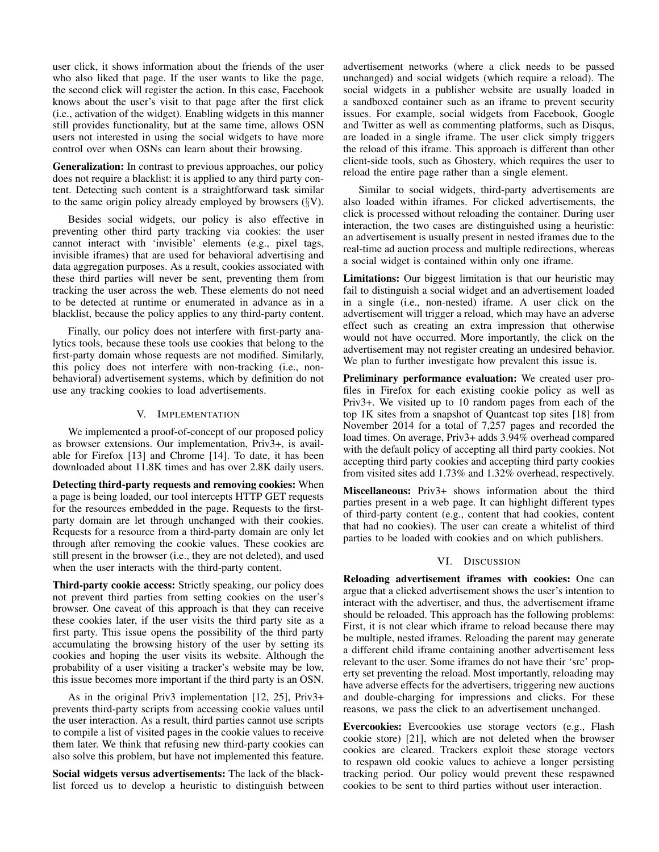user click, it shows information about the friends of the user who also liked that page. If the user wants to like the page, the second click will register the action. In this case, Facebook knows about the user's visit to that page after the first click (i.e., activation of the widget). Enabling widgets in this manner still provides functionality, but at the same time, allows OSN users not interested in using the social widgets to have more control over when OSNs can learn about their browsing.

Generalization: In contrast to previous approaches, our policy does not require a blacklist: it is applied to any third party content. Detecting such content is a straightforward task similar to the same origin policy already employed by browsers  $(\S{V})$ .

Besides social widgets, our policy is also effective in preventing other third party tracking via cookies: the user cannot interact with 'invisible' elements (e.g., pixel tags, invisible iframes) that are used for behavioral advertising and data aggregation purposes. As a result, cookies associated with these third parties will never be sent, preventing them from tracking the user across the web. These elements do not need to be detected at runtime or enumerated in advance as in a blacklist, because the policy applies to any third-party content.

Finally, our policy does not interfere with first-party analytics tools, because these tools use cookies that belong to the first-party domain whose requests are not modified. Similarly, this policy does not interfere with non-tracking (i.e., nonbehavioral) advertisement systems, which by definition do not use any tracking cookies to load advertisements.

# V. IMPLEMENTATION

We implemented a proof-of-concept of our proposed policy as browser extensions. Our implementation, Priv3+, is available for Firefox [13] and Chrome [14]. To date, it has been downloaded about 11.8K times and has over 2.8K daily users.

Detecting third-party requests and removing cookies: When a page is being loaded, our tool intercepts HTTP GET requests for the resources embedded in the page. Requests to the firstparty domain are let through unchanged with their cookies. Requests for a resource from a third-party domain are only let through after removing the cookie values. These cookies are still present in the browser (i.e., they are not deleted), and used when the user interacts with the third-party content.

Third-party cookie access: Strictly speaking, our policy does not prevent third parties from setting cookies on the user's browser. One caveat of this approach is that they can receive these cookies later, if the user visits the third party site as a first party. This issue opens the possibility of the third party accumulating the browsing history of the user by setting its cookies and hoping the user visits its website. Although the probability of a user visiting a tracker's website may be low, this issue becomes more important if the third party is an OSN.

As in the original Priv3 implementation [12, 25], Priv3+ prevents third-party scripts from accessing cookie values until the user interaction. As a result, third parties cannot use scripts to compile a list of visited pages in the cookie values to receive them later. We think that refusing new third-party cookies can also solve this problem, but have not implemented this feature.

Social widgets versus advertisements: The lack of the blacklist forced us to develop a heuristic to distinguish between advertisement networks (where a click needs to be passed unchanged) and social widgets (which require a reload). The social widgets in a publisher website are usually loaded in a sandboxed container such as an iframe to prevent security issues. For example, social widgets from Facebook, Google and Twitter as well as commenting platforms, such as Disqus, are loaded in a single iframe. The user click simply triggers the reload of this iframe. This approach is different than other client-side tools, such as Ghostery, which requires the user to reload the entire page rather than a single element.

Similar to social widgets, third-party advertisements are also loaded within iframes. For clicked advertisements, the click is processed without reloading the container. During user interaction, the two cases are distinguished using a heuristic: an advertisement is usually present in nested iframes due to the real-time ad auction process and multiple redirections, whereas a social widget is contained within only one iframe.

Limitations: Our biggest limitation is that our heuristic may fail to distinguish a social widget and an advertisement loaded in a single (i.e., non-nested) iframe. A user click on the advertisement will trigger a reload, which may have an adverse effect such as creating an extra impression that otherwise would not have occurred. More importantly, the click on the advertisement may not register creating an undesired behavior. We plan to further investigate how prevalent this issue is.

Preliminary performance evaluation: We created user profiles in Firefox for each existing cookie policy as well as Priv3+. We visited up to 10 random pages from each of the top 1K sites from a snapshot of Quantcast top sites [18] from November 2014 for a total of 7,257 pages and recorded the load times. On average, Priv3+ adds 3.94% overhead compared with the default policy of accepting all third party cookies. Not accepting third party cookies and accepting third party cookies from visited sites add 1.73% and 1.32% overhead, respectively.

Miscellaneous: Priv3+ shows information about the third parties present in a web page. It can highlight different types of third-party content (e.g., content that had cookies, content that had no cookies). The user can create a whitelist of third parties to be loaded with cookies and on which publishers.

## VI. DISCUSSION

Reloading advertisement iframes with cookies: One can argue that a clicked advertisement shows the user's intention to interact with the advertiser, and thus, the advertisement iframe should be reloaded. This approach has the following problems: First, it is not clear which iframe to reload because there may be multiple, nested iframes. Reloading the parent may generate a different child iframe containing another advertisement less relevant to the user. Some iframes do not have their 'src' property set preventing the reload. Most importantly, reloading may have adverse effects for the advertisers, triggering new auctions and double-charging for impressions and clicks. For these reasons, we pass the click to an advertisement unchanged.

Evercookies: Evercookies use storage vectors (e.g., Flash cookie store) [21], which are not deleted when the browser cookies are cleared. Trackers exploit these storage vectors to respawn old cookie values to achieve a longer persisting tracking period. Our policy would prevent these respawned cookies to be sent to third parties without user interaction.